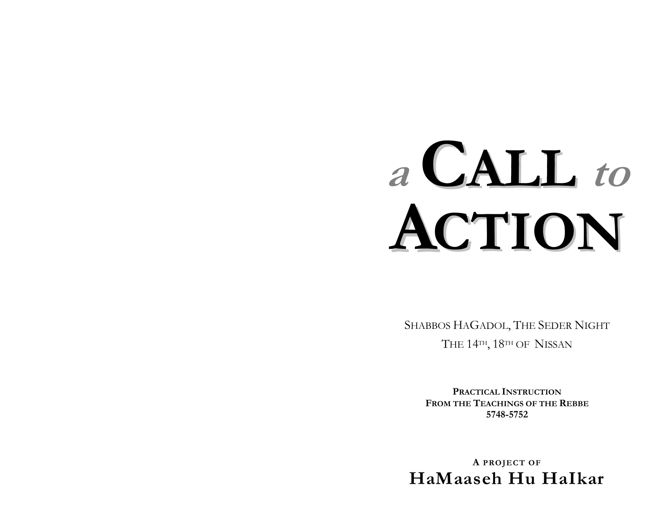# **a CALL to ACTION**

SHABBOS HAGADOL, THE SEDER NIGHT THE 14TH, 18TH OF NISSAN

> **PRACTICAL INSTRUCTIONFROM THE TEACHINGS OF THE REBBE 5748-5752**

**A PROJECT OF HaMaaseh Hu HaIkar**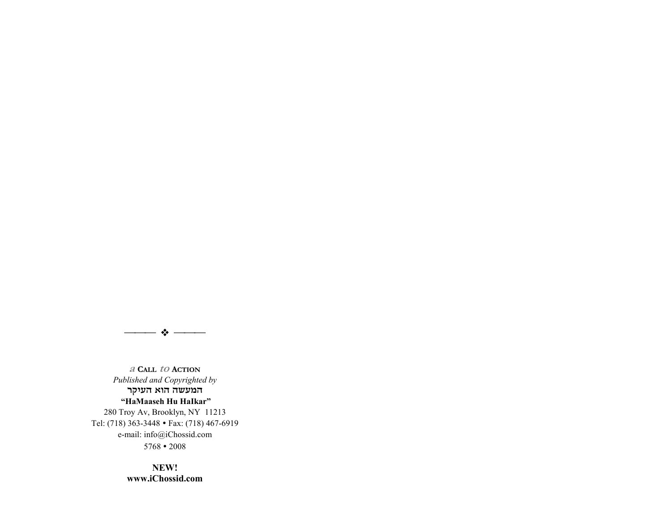

**a CALL to ACTION***Published and Copyrighted by*  המעשה הוא העיקר  **ìHaMaaseh Hu HaIkarî**  280 Troy Av, Brooklyn, NY 11213 Tel: (718) 363-3448 • Fax: (718) 467-6919 e-mail: info@iChossid.com

5768 " 2008

**NEW!www.iChossid.com**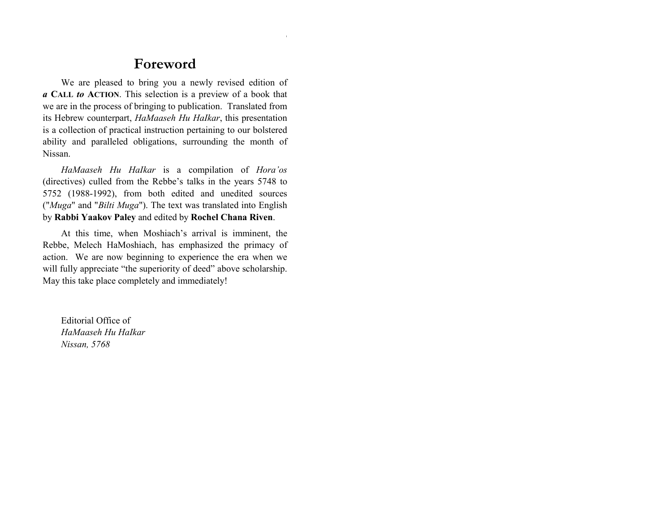## **Foreword**

We are pleased to bring you a newly revised edition of *a* **CALL** *to* **ACTION**. This selection is a preview of a book that we are in the process of bringing to publication. Translated from its Hebrew counterpart, *HaMaaseh Hu HaIkar*, this presentation is a collection of practical instruction pertaining to our bolstered ability and paralleled obligations, surrounding the month of Nissan.

*HaMaaseh Hu HaIkar* is a compilation of *Horaíos* (directives) culled from the Rebbe's talks in the years 5748 to 5752 (1988-1992), from both edited and unedited sources ("*Muga*" and "*Bilti Muga*"). The text was translated into English by **Rabbi Yaakov Paley** and edited by **Rochel Chana Riven**.

At this time, when Moshiach's arrival is imminent, the Rebbe, Melech HaMoshiach, has emphasized the primacy of action. We are now beginning to experience the era when we will fully appreciate "the superiority of deed" above scholarship. May this take place completely and immediately!

Editorial Office of *HaMaaseh Hu HaIkar Nissan, 5768*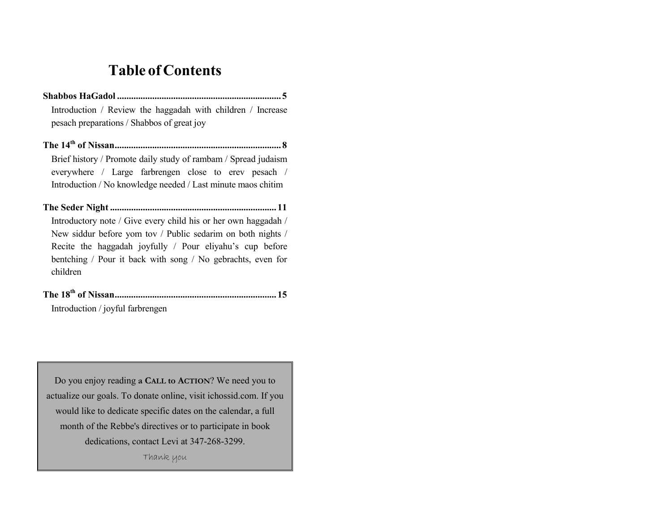# **Table of Contents**

- **Shabbos HaGadol ...................................................................... 5**Introduction / Review the haggadah with children / Increase pesach preparations / Shabbos of great joy
- **The 14th of Nissan....................................................................... 8** Brief history / Promote daily study of rambam / Spread judaism everywhere / Large farbrengen close to erev pesach / Introduction / No knowledge needed / Last minute maos chitim
- **The Seder Night ....................................................................... 11** Introductory note / Give every child his or her own haggadah / New siddur before yom tov / Public sedarim on both nights / Recite the haggadah joyfully / Pour eliyahu's cup before bentching / Pour it back with song / No gebrachts, even for children
- **The 18th of Nissan..................................................................... 15** Introduction / joyful farbrengen

Do you enjoy reading **a CALL to ACTION**? We need you to actualize our goals. To donate online, visit ichossid.com. If you would like to dedicate specific dates on the calendar, a full month of the Rebbe's directives or to participate in book dedications, contact Levi at 347-268-3299.

Thank you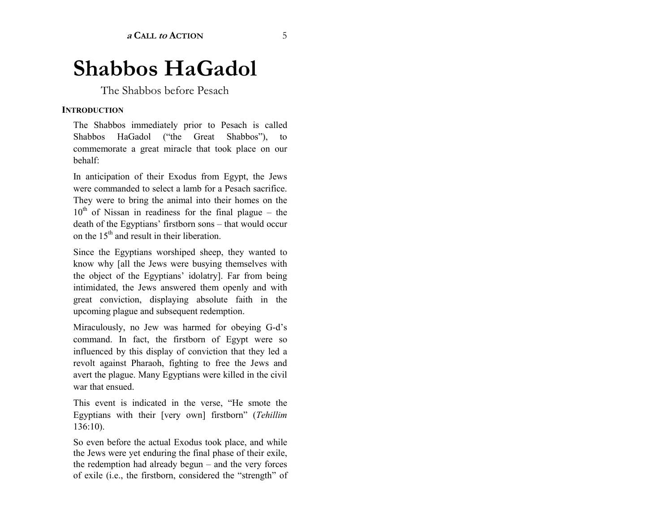# **Shabbos HaGadol**

The Shabbos before Pesach

#### **INTRODUCTION**

The Shabbos immediately prior to Pesach is called Shabbos HaGadol ("the Great Shabbos"), to commemorate a great miracle that took place on our behalf:

In anticipation of their Exodus from Egypt, the Jews were commanded to select a lamb for a Pesach sacrifice. They were to bring the animal into their homes on the  $10<sup>th</sup>$  of Nissan in readiness for the final plague – the death of the Egyptians' firstborn sons  $-$  that would occur on the  $15<sup>th</sup>$  and result in their liberation.

Since the Egyptians worshiped sheep, they wanted to know why [all the Jews were busying themselves with the object of the Egyptians' idolatry]. Far from being intimidated, the Jews answered them openly and with great conviction, displaying absolute faith in the upcoming plague and subsequent redemption.

Miraculously, no Jew was harmed for obeying G-d's command. In fact, the firstborn of Egypt were so influenced by this display of conviction that they led a revolt against Pharaoh, fighting to free the Jews and avert the plague. Many Egyptians were killed in the civil war that ensued.

This event is indicated in the verse, "He smote the Egyptians with their [very own] firstborn<sup>3</sup> (*Tehillim* 136:10).

So even before the actual Exodus took place, and while the Jews were yet enduring the final phase of their exile, the redemption had already begun  $-$  and the very forces of exile (i.e., the firstborn, considered the "strength" of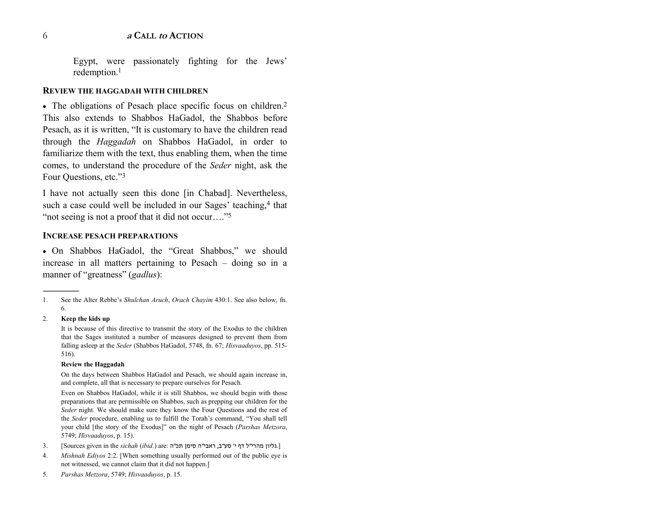#### **a CALL to ACTION**

Egypt, were passionately fighting for the Jews' redemption.1

#### **REVIEW THE HAGGADAH WITH CHILDREN**

• The obligations of Pesach place specific focus on children.<sup>2</sup> This also extends to Shabbos HaGadol, the Shabbos before Pesach, as it is written, "It is customary to have the children read through the *Haggadah* on Shabbos HaGadol, in order to familiarize them with the text, thus enabling them, when the time comes, to understand the procedure of the *Seder* night, ask the Four Ouestions, etc."<sup>3</sup>

I have not actually seen this done [in Chabad]. Nevertheless, such a case could well be included in our Sages' teaching,<sup>4</sup> that "not seeing is not a proof that it did not occur...."<sup>5</sup>

#### **INCREASE PESACH PREPARATIONS**

• On Shabbos HaGadol, the "Great Shabbos," we should increase in all matters pertaining to Pesach  $-$  doing so in a manner of "greatness" (*gadlus*):

2. **Keep the kids up**

It is because of this directive to transmit the story of the Exodus to the children that the Sages instituted a number of measures designed to prevent them from falling asleep at the *Seder* (Shabbos HaGadol, 5748, fn. 67; *Hisvaaduyos*, pp. 515- 516).

#### **Review the Haggadah**

On the days between Shabbos HaGadol and Pesach, we should again increase in, and complete, all that is necessary to prepare ourselves for Pesach.

Even on Shabbos HaGadol, while it is still Shabbos, we should begin with those preparations that are permissible on Shabbos, such as prepping our children for the *Seder* night. We should make sure they know the Four Questions and the rest of the *Seder* procedure, enabling us to fulfill the Torah's command, "You shall tell your child [the story of the Exodus]" on the night of Pesach (*Parshas Metzora*, 5749; *Hisvaaduyos*, p. 15).

- [.גליון מהרי"ל דף <sup>י</sup>' סע"ב, ראבי"<sup>ה</sup> סימן תכ"ה :are) .*ibid* (*sichah* the in given Sources [3.
- 4. *Mishnah Ediyos* 2:2. [When something usually performed out of the public eye is not witnessed, we cannot claim that it did not happen.]
- 5. *Parshas Metzora*, 5749; *Hisvaaduyos*, p. 15.

<sup>1.</sup> See the Alter Rebbe's *Shulchan Aruch*, *Orach Chayim* 430:1. See also below, fn. 6.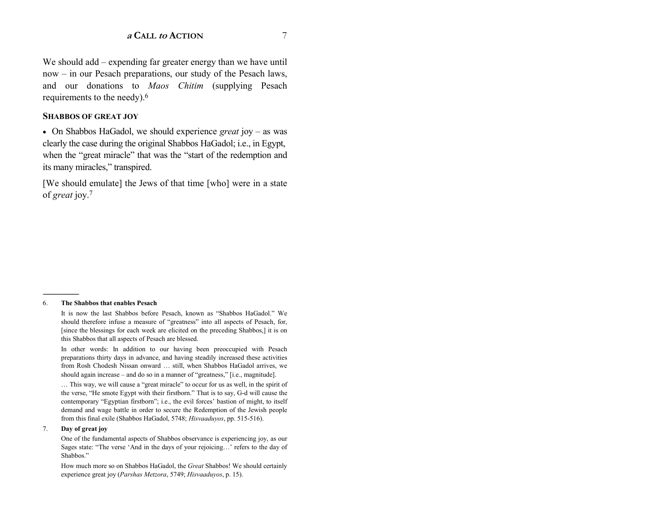We should add  $-$  expending far greater energy than we have until now – in our Pesach preparations, our study of the Pesach laws, and our donations to *Maos Chitim* (supplying Pesach requirements to the needy).6

#### **SHABBOS OF GREAT JOY**

• On Shabbos HaGadol, we should experience *great* joy – as was clearly the case during the original Shabbos HaGadol; i.e., in Egypt, when the "great miracle" that was the "start of the redemption and its many miracles," transpired.

[We should emulate] the Jews of that time [who] were in a state of *grea<sup>t</sup>* joy.7

#### 6. **The Shabbos that enables Pesach**

------------------------------------------------

It is now the last Shabbos before Pesach, known as "Shabbos HaGadol." We should therefore infuse a measure of "greatness" into all aspects of Pesach, for, [since the blessings for each week are elicited on the preceding Shabbos,] it is on this Shabbos that all aspects of Pesach are blessed.

In other words: In addition to our having been preoccupied with Pesach preparations thirty days in advance, and having steadily increased these activities from Rosh Chodesh Nissan onward ... still, when Shabbos HaGadol arrives, we should again increase  $-$  and do so in a manner of "greatness," [i.e., magnitude].

... This way, we will cause a "great miracle" to occur for us as well, in the spirit of the verse, "He smote Egypt with their firstborn." That is to say, G-d will cause the contemporary "Egyptian firstborn"; i.e., the evil forces' bastion of might, to itself demand and wage battle in order to secure the Redemption of the Jewish people from this final exile (Shabbos HaGadol, 5748; *Hisvaaduyos*, pp. 515-516).

#### 7. **Day of great joy**

One of the fundamental aspects of Shabbos observance is experiencing joy, as our Sages state: "The verse 'And in the days of your rejoicing...' refers to the day of Shabbos."

How much more so on Shabbos HaGadol, the *Great* Shabbos! We should certainly experience great joy (*Parshas Metzora*, 5749; *Hisvaaduyos*, p. 15).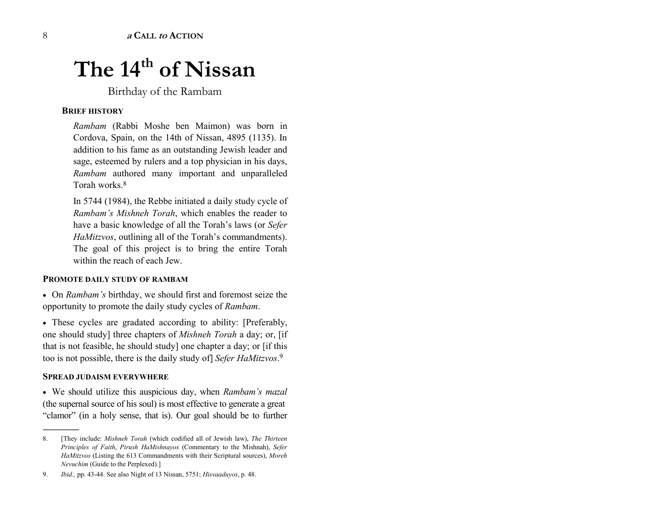# The 14<sup>th</sup> of Nissan

Birthday of the Rambam

#### **BRIEF HISTORY**

*Rambam* (Rabbi Moshe ben Maimon) was born in Cordova, Spain, on the 14th of Nissan, 4895 (1135). In addition to his fame as an outstanding Jewish leader and sage, esteemed by rulers and a top physician in his days, *Rambam* authored many important and unparalleled Torah works<sup>8</sup>

In 5744 (1984), the Rebbe initiated a daily study cycle of *Rambamís Mishneh Torah*, which enables the reader to have a basic knowledge of all the Torah's laws (or *Sefer HaMitzvos*, outlining all of the Torah's commandments). The goal of this project is to bring the entire Torah within the reach of each Jew.

#### **PROMOTE DAILY STUDY OF RAMBAM**

• On *Rambamís* birthday, we should first and foremost seize the opportunity to promote the daily study cycles of *Rambam*.

• These cycles are gradated according to ability: [Preferably, one should study] three chapters of *Mishneh Torah* a day; or, [if that is not feasible, he should study] one chapter a day; or [if this too is not possible, there is the daily study of] *Sefer HaMitzvos*.<sup>9</sup>

#### **SPREAD JUDAISM EVERYWHERE**

------------------------------------------------

• We should utilize this auspicious day, when *Rambamís mazal* (the supernal source of his soul) is most effective to generate a great "clamor" (in a holy sense, that is). Our goal should be to further

<sup>8. [</sup>They include: *Mishneh Torah* (which codified all of Jewish law), *The Thirteen Principles of Faith*, *Pirush HaMishnayos* (Commentary to the Mishnah), *Sefer HaMitzvos* (Listing the 613 Commandments with their Scriptural sources), *Moreh Nevuchim* (Guide to the Perplexed).]

<sup>9.</sup> *Ibid.,* pp. 43-44. See also Night of 13 Nissan, 5751; *Hisvaaduyos*, p. 48.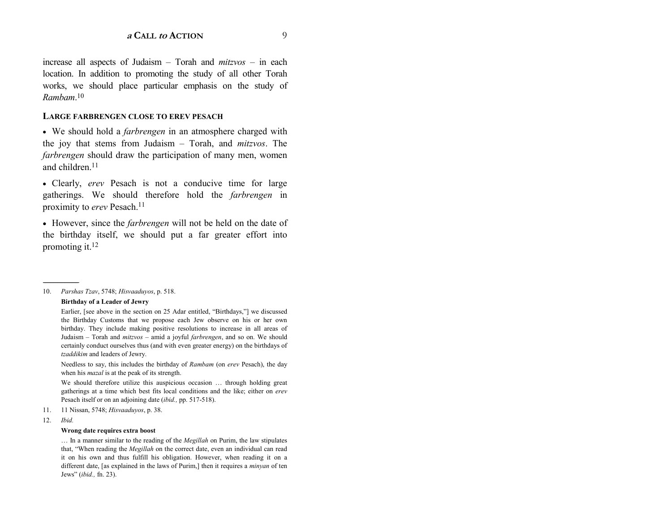increase all aspects of Judaism – Torah and *mitzvos* – in each location. In addition to promoting the study of all other Torah works, we should place particular emphasis on the study of *Rambam*.<sup>10</sup>

#### **LARGE FARBRENGEN CLOSE TO EREV PESACH**

• We should hold a *farbrengen* in an atmosphere charged with the joy that stems from Judaism – Torah, and *mitzvos*. The *farbrengen* should draw the participation of many men, women and children.11

• Clearly, *erev* Pesach is not a conducive time for large gatherings. We should therefore hold the *farbrengen* in proximity to *erev* Pesach.<sup>11</sup>

• However, since the *farbrengen* will not be held on the date of the birthday itself, we should put a far greater effort into promoting it.12

10. *Parshas Tzav*, 5748; *Hisvaaduyos*, p. 518.

**Birthday of a Leader of Jewry** 

Needless to say, this includes the birthday of *Rambam* (on *erev* Pesach), the day when his *mazal* is at the peak of its strength.

We should therefore utilize this auspicious occasion ... through holding great gatherings at a time which best fits local conditions and the like; either on *erev* Pesach itself or on an adjoining date (*ibid.,* pp. 517-518).

- 11. 11 Nissan, 5748; *Hisvaaduyos*, p. 38.
- 12. *Ibid.*

------------------------------------------------

#### **Wrong date requires extra boost**

Ö In a manner similar to the reading of the *Megillah* on Purim, the law stipulates that, "When reading the *Megillah* on the correct date, even an individual can read it on his own and thus fulfill his obligation. However, when reading it on a different date, [as explained in the laws of Purim,] then it requires a *minyan* of ten Jewsî (*ibid.,* fn. 23).

Earlier, [see above in the section on 25 Adar entitled, "Birthdays,"] we discussed the Birthday Customs that we propose each Jew observe on his or her own birthday. They include making positive resolutions to increase in all areas of Judaism – Torah and *mitzvos* – amid a joyful *farbrengen*, and so on. We should certainly conduct ourselves thus (and with even greater energy) on the birthdays of *tzaddikim* and leaders of Jewry.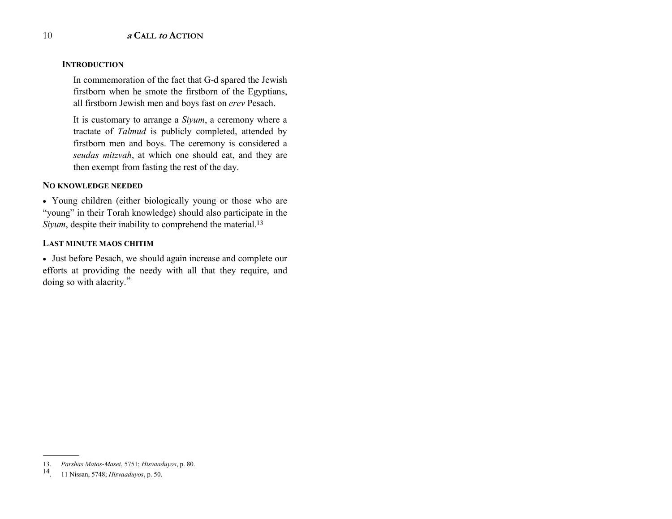#### **INTRODUCTION**

In commemoration of the fact that G-d spared the Jewish firstborn when he smote the firstborn of the Egyptians, all firstborn Jewish men and boys fast on *erev* Pesach.

It is customary to arrange a *Siyum*, a ceremony where a tractate of *Talmud* is publicly completed, attended by firstborn men and boys. The ceremony is considered a *seudas mitzvah*, at which one should eat, and they are then exempt from fasting the rest of the day.

#### **NO KNOWLEDGE NEEDED**

• Young children (either biologically young or those who are "young" in their Torah knowledge) should also participate in the *Siyum*, despite their inability to comprehend the material.<sup>13</sup>

#### **LAST MINUTE MAOS CHITIM**

• Just before Pesach, we should again increase and complete our efforts at providing the needy with all that they require, and doing so with alacrity.<sup>14</sup>

------------------------------------------------

<sup>13.</sup> *Parshas Matos-Masei*, 5751; *Hisvaaduyos*, p. 80.

<sup>14. 11</sup> Nissan, 5748; *Hisvaaduyos*, p. 50.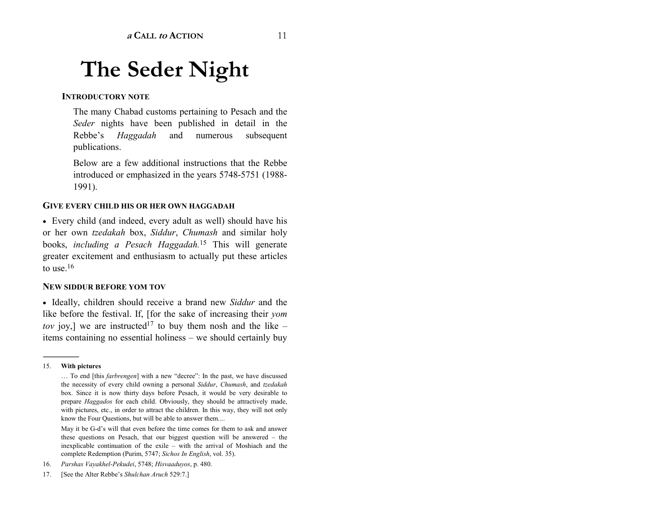# **The Seder Night**

#### **INTRODUCTORY NOTE**

The many Chabad customs pertaining to Pesach and the *Seder* nights have been published in detail in the Rebbe's *Haggadah* and numerous subsequent publications.

Below are a few additional instructions that the Rebbe introduced or emphasized in the years 5748-5751 (1988- 1991).

#### **GIVE EVERY CHILD HIS OR HER OWN HAGGADAH**

• Every child (and indeed, every adult as well) should have his or her own *tzedakah* box, *Siddur*, *Chumash* and similar holy books, *including a Pesach Haggadah.*15 This will generate greater excitement and enthusiasm to actually put these articles to use  $16$ 

#### **NEW SIDDUR BEFORE YOM TOV**

• Ideally, children should receive a brand new *Siddur* and the like before the festival. If, [for the sake of increasing their *yom tov* joy,] we are instructed<sup>17</sup> to buy them nosh and the like  $$ items containing no essential holiness – we should certainly buy

May it be G-d's will that even before the time comes for them to ask and answer these questions on Pesach, that our biggest question will be answered  $-$  the inexplicable continuation of the exile  $-$  with the arrival of Moshiach and the complete Redemption (Purim, 5747; *Sichos In English*, vol. 35).

16. *Parshas Vayakhel-Pekudei*, 5748; *Hisvaaduyos*, p. 480.

<sup>15.</sup> **With pictures**

<sup>...</sup> To end [this *farbrengen*] with a new "decree": In the past, we have discussed the necessity of every child owning a personal *Siddur*, *Chumash*, and *tzedakah* box. Since it is now thirty days before Pesach, it would be very desirable to prepare *Haggados* for each child. Obviously, they should be attractively made, with pictures, etc., in order to attract the children. In this way, they will not only know the Four Questions, but will be able to answer them....

<sup>17. [</sup>See the Alter Rebbe's *Shulchan Aruch* 529:7.]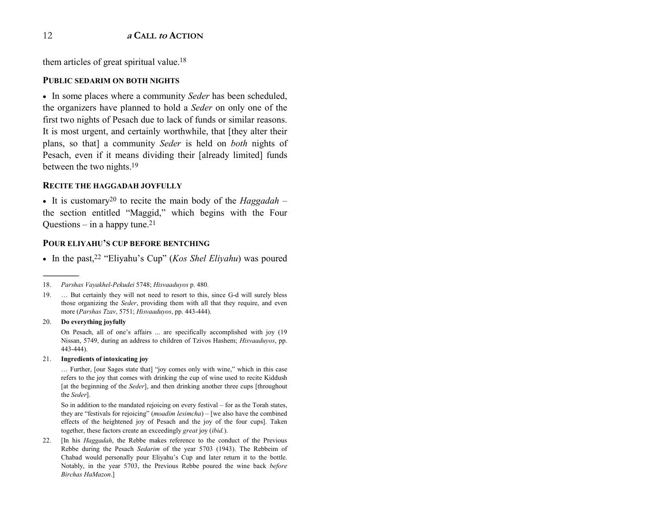them articles of great spiritual value.<sup>18</sup>

#### **PUBLIC SEDARIM ON BOTH NIGHTS**

• In some places where a community *Seder* has been scheduled, the organizers have planned to hold a *Seder* on only one of the first two nights of Pesach due to lack of funds or similar reasons. It is most urgent, and certainly worthwhile, that [they alter their plans, so that] a community *Seder* is held on *both* nights of Pesach, even if it means dividing their [already limited] funds between the two nights.19

#### **RECITE THE HAGGADAH JOYFULLY**

• It is customary<sup>20</sup> to recite the main body of the *Haggadah* – the section entitled "Maggid," which begins with the Four Questions  $-$  in a happy tune.<sup>21</sup>

#### **POUR ELIYAHU'S CUP BEFORE BENTCHING**

• In the past,<sup>22</sup> "Eliyahu's Cup" (*Kos Shel Eliyahu*) was poured

#### 20. **Do everything joyfully**

On Pesach, all of one's affairs ... are specifically accomplished with joy (19) Nissan, 5749, during an address to children of Tzivos Hashem; *Hisvaaduyos*, pp. 443-444).

#### 21. **Ingredients of intoxicating joy**

... Further, [our Sages state that] "joy comes only with wine," which in this case refers to the joy that comes with drinking the cup of wine used to recite Kiddush [at the beginning of the *Seder*], and then drinking another three cups [throughout the *Seder*].

So in addition to the mandated rejoicing on every festival  $-$  for as the Torah states, they are "festivals for rejoicing" (*moadim lesimcha*) – [we also have the combined effects of the heightened joy of Pesach and the joy of the four cups]. Taken together, these factors create an exceedingly *grea<sup>t</sup>* joy (*ibid.*).

22. [In his *Haggadah*, the Rebbe makes reference to the conduct of the Previous Rebbe during the Pesach *Sedarim* of the year 5703 (1943). The Rebbeim of Chabad would personally pour Eliyahuís Cup and later return it to the bottle. Notably, in the year 5703, the Previous Rebbe poured the wine back *before Birchas HaMazon*.]

<sup>18.</sup> *Parshas Vayakhel-Pekudei* 5748; *Hisvaaduyos* p. 480.

<sup>19. ...</sup> But certainly they will not need to resort to this, since G-d will surely bless those organizing the *Seder*, providing them with all that they require, and even more (*Parshas Tzav*, 5751; *Hisvaaduyos*, pp. 443-444).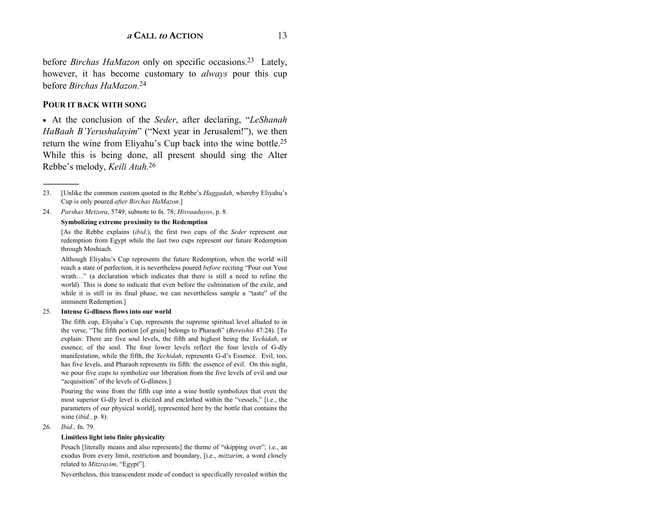before *Birchas HaMazon* only on specific occasions.23 Lately, however, it has become customary to *always* pour this cup before *Birchas HaMazon*.<sup>24</sup>

#### **POUR IT BACK WITH SONG**

• At the conclusion of the *Seder*, after declaring, *''LeShanah HaBaah B'Yerushalayim*" ("Next year in Jerusalem!"), we then return the wine from Eliyahu's Cup back into the wine bottle.<sup>25</sup> While this is being done, all present should sing the Alter Rebbeís melody, *Keili Atah*.<sup>26</sup>

24. *Parshas Metzora*, 5749, subnote to fn. 78; *Hisvaaduyos*, p. 8.

#### **Symbolizing extreme proximity to the Redemption**

[As the Rebbe explains (*ibid.*), the first two cups of the *Seder* represent our redemption from Egypt while the last two cups represent our future Redemption through Moshiach.

Although Eliyahu's Cup represents the future Redemption, when the world will reach a state of perfection, it is nevertheless poured *before* reciting "Pour out Your wrath..." (a declaration which indicates that there is still a need to refine the world). This is done to indicate that even before the culmination of the exile, and while it is still in its final phase, we can nevertheless sample a "taste" of the imminent Redemption.]

#### 25. **Intense G-dliness flows into our world**

The fifth cup, Eliyahu's Cup, represents the supreme spiritual level alluded to in the verse, "The fifth portion [of grain] belongs to Pharaoh" (*Bereishis* 47:24). [To explain: There are five soul levels, the fifth and highest being the *Yechidah*, or essence, of the soul. The four lower levels reflect the four levels of G-dly manifestation, while the fifth, the *Yechidah*, represents G-d's Essence. Evil, too, has five levels, and Pharaoh represents its fifth: the essence of evil. On this night, we pour five cups to symbolize our liberation from the five levels of evil and our "acquisition" of the levels of G-dliness.]

Pouring the wine from the fifth cup into a wine bottle symbolizes that even the most superior G-dly level is elicited and enclothed within the "vessels," [i.e., the parameters of our physical world], represented here by the bottle that contains the wine (*ibid.,* p. 8).

26. *Ibid.,* fn. 79.

#### **Limitless light into finite physicality**

Pesach [literally means and also represents] the theme of "skipping over"; i.e., an exodus from every limit, restriction and boundary, [i.e., *mitzarim*, a word closely related to *Mitzrayim*, "Egypt"].

Nevertheless, this transcendent mode of conduct is specifically revealed within the

<sup>23. [</sup>Unlike the common custom quoted in the Rebbe's *Haggadah*, whereby Eliyahu's Cup is only poured *after Birchas HaMazon*.]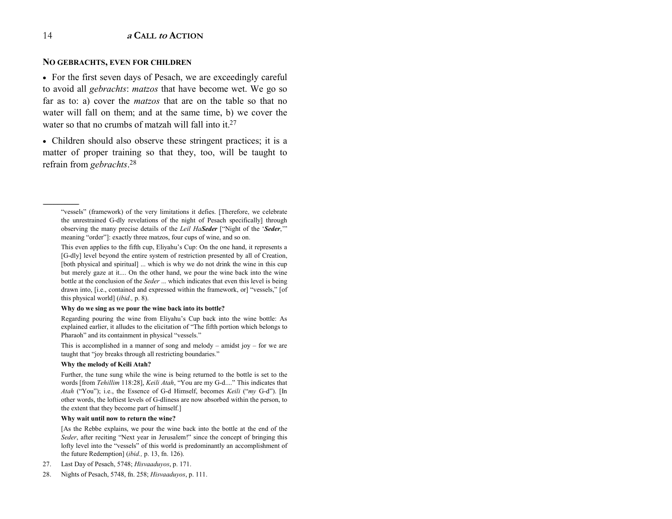#### **NO GEBRACHTS, EVEN FOR CHILDREN**

• For the first seven days of Pesach, we are exceedingly careful to avoid all *gebrachts*: *matzos* that have become wet. We go so far as to: a) cover the *matzos* that are on the table so that no water will fall on them; and at the same time, b) we cover the water so that no crumbs of matzah will fall into it  $27$ 

• Children should also observe these stringent practices; it is a matter of proper training so that they, too, will be taught to refrain from *gebrachts*.<sup>28</sup>

#### **Why do we sing as we pour the wine back into its bottle?**

Regarding pouring the wine from Eliyahu's Cup back into the wine bottle: As explained earlier, it alludes to the elicitation of "The fifth portion which belongs to Pharaoh" and its containment in physical "vessels."

This is accomplished in a manner of song and melody  $-$  amidst joy  $-$  for we are taught that "joy breaks through all restricting boundaries."

#### **Why the melody of Keili Atah?**

Further, the tune sung while the wine is being returned to the bottle is set to the words [from *Tehillim* 118:28], *Keili Atah*, "You are my G-d...." This indicates that *Atah* ("You"); i.e., the Essence of G-d Himself, becomes *Keili* ("*my* G-d"). [In other words, the loftiest levels of G-dliness are now absorbed within the person, to the extent that they become part of himself.]

#### **Why wait until now to return the wine?**

[As the Rebbe explains, we pour the wine back into the bottle at the end of the *Seder*, after reciting "Next year in Jerusalem!" since the concept of bringing this lofty level into the "vessels" of this world is predominantly an accomplishment of the future Redemption] (*ibid.,* p. 13, fn. 126).

- 27. Last Day of Pesach, 5748; *Hisvaaduyos*, p. 171.
- 28. Nights of Pesach, 5748, fn. 258; *Hisvaaduyos*, p. 111.

<sup>&</sup>quot;vessels" (framework) of the very limitations it defies. [Therefore, we celebrate the unrestrained G-dly revelations of the night of Pesach specifically] through observing the many precise details of the *Leil HaSeder* ["Night of the 'Seder," meaning "order"]: exactly three matzos, four cups of wine, and so on.

This even applies to the fifth cup, Eliyahu's Cup: On the one hand, it represents a [G-dly] level beyond the entire system of restriction presented by all of Creation, [both physical and spiritual] ... which is why we do not drink the wine in this cup but merely gaze at it.... On the other hand, we pour the wine back into the wine bottle at the conclusion of the *Seder* ... which indicates that even this level is being drawn into, [i.e., contained and expressed within the framework, or] "vessels," [of this physical world] (*ibid.,* p. 8).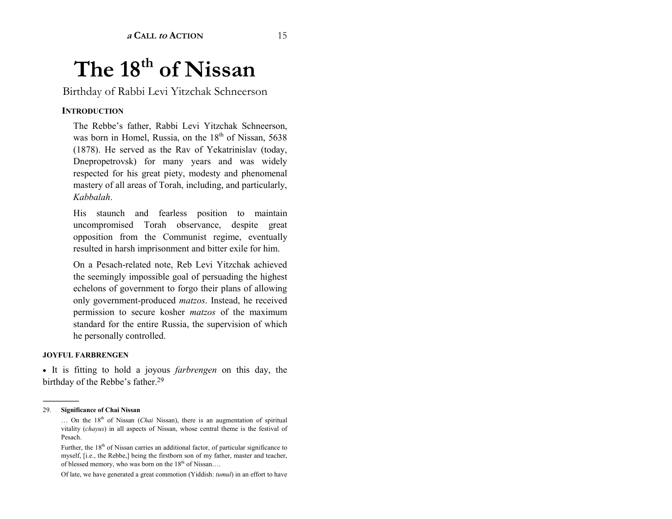# **The 18th of Nissan**

Birthday of Rabbi Levi Yitzchak Schneerson

#### **INTRODUCTION**

The Rebbe's father, Rabbi Levi Yitzchak Schneerson, was born in Homel, Russia, on the  $18<sup>th</sup>$  of Nissan, 5638 (1878). He served as the Rav of Yekatrinislav (today, Dnepropetrovsk) for many years and was widely respected for his great piety, modesty and phenomenal mastery of all areas of Torah, including, and particularly, *Kabbalah*.

His staunch and fearless position to maintain uncompromised Torah observance, despite great opposition from the Communist regime, eventually resulted in harsh imprisonment and bitter exile for him.

On a Pesach-related note, Reb Levi Yitzchak achieved the seemingly impossible goal of persuading the highest echelons of government to forgo their plans of allowing only government-produced *matzos*. Instead, he received permission to secure kosher *matzos* of the maximum standard for the entire Russia, the supervision of which he personally controlled.

#### **JOYFUL FARBRENGEN**

• It is fitting to hold a joyous *farbrengen* on this day, the birthday of the Rebbe's father.<sup>29</sup>

------------------------------------------------

Of late, we have generated a great commotion (Yiddish: *tumul*) in an effort to have

<sup>29.</sup> **Significance of Chai Nissan**

<sup>...</sup> On the 18<sup>th</sup> of Nissan (*Chai* Nissan), there is an augmentation of spiritual vitality (*chayus*) in all aspects of Nissan, whose central theme is the festival of Pesach.

Further, the 18<sup>th</sup> of Nissan carries an additional factor, of particular significance to myself, [i.e., the Rebbe,] being the firstborn son of my father, master and teacher, of blessed memory, who was born on the 18<sup>th</sup> of Nissan....